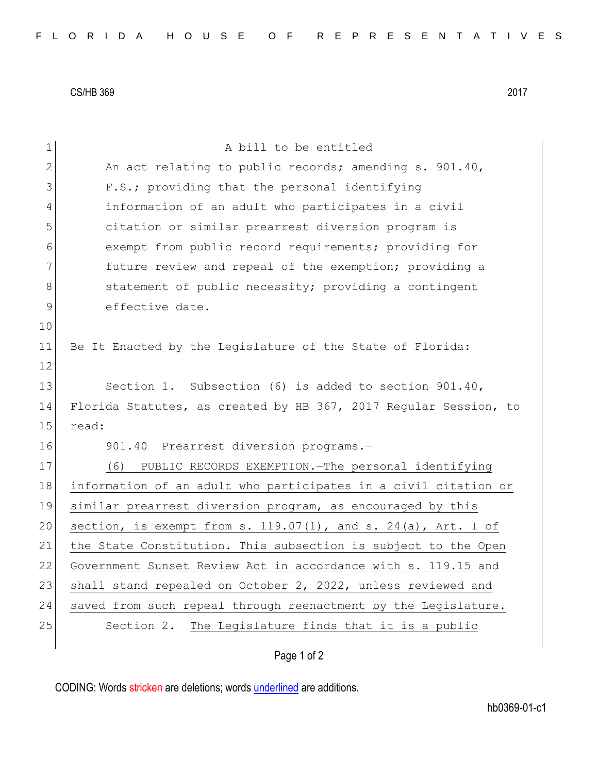CS/HB 369 2017

| 1  | A bill to be entitled                                            |
|----|------------------------------------------------------------------|
| 2  | An act relating to public records; amending s. 901.40,           |
| 3  | F.S.; providing that the personal identifying                    |
| 4  | information of an adult who participates in a civil              |
| 5  | citation or similar prearrest diversion program is               |
| 6  | exempt from public record requirements; providing for            |
| 7  | future review and repeal of the exemption; providing a           |
| 8  | statement of public necessity; providing a contingent            |
| 9  | effective date.                                                  |
| 10 |                                                                  |
| 11 | Be It Enacted by the Legislature of the State of Florida:        |
| 12 |                                                                  |
| 13 | Section 1. Subsection (6) is added to section 901.40,            |
| 14 | Florida Statutes, as created by HB 367, 2017 Regular Session, to |
| 15 | read:                                                            |
| 16 | 901.40 Prearrest diversion programs.-                            |
| 17 | (6)<br>PUBLIC RECORDS EXEMPTION. The personal identifying        |
| 18 | information of an adult who participates in a civil citation or  |
| 19 | similar prearrest diversion program, as encouraged by this       |
| 20 | section, is exempt from s. 119.07(1), and s. 24(a), Art. I of    |
| 21 | the State Constitution. This subsection is subject to the Open   |
| 22 | Government Sunset Review Act in accordance with s. 119.15 and    |
| 23 | shall stand repealed on October 2, 2022, unless reviewed and     |
| 24 | saved from such repeal through reenactment by the Legislature.   |
| 25 | Section 2. The Legislature finds that it is a public             |
|    | Page 1 of 2                                                      |

CODING: Words stricken are deletions; words underlined are additions.